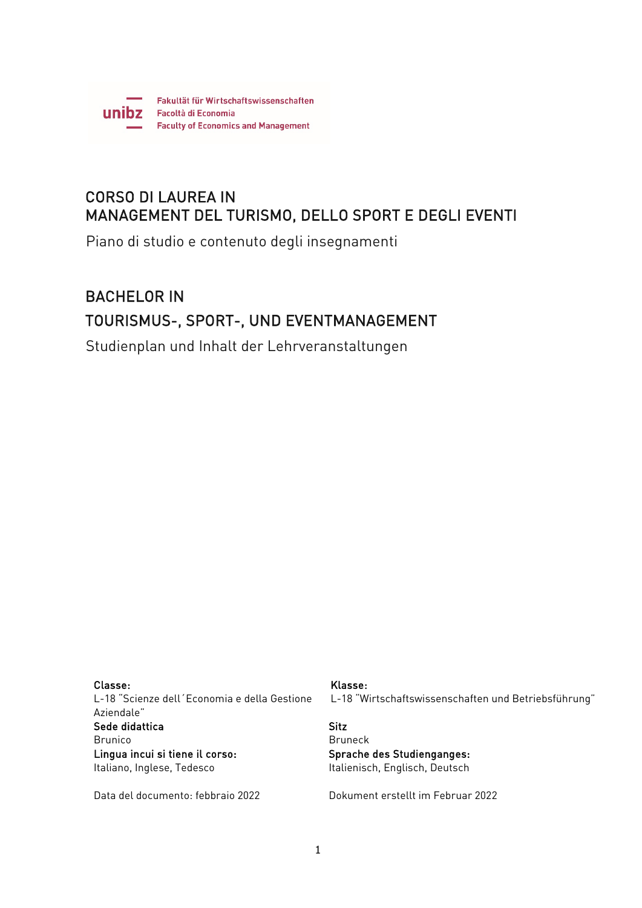

# CORSO DI LAUREA IN MANAGEMENT DEL TURISMO, DELLO SPORT E DEGLI EVENTI

Piano di studio e contenuto degli insegnamenti

# BACHELOR IN TOURISMUS-, SPORT-, UND EVENTMANAGEMENT

Studienplan und Inhalt der Lehrveranstaltungen

Classe: L-18 "Scienze dell´Economia e della Gestione Aziendale" Sede didattica Brunico Lingua incui si tiene il corso: Italiano, Inglese, Tedesco

Data del documento: febbraio 2022

## Klasse:

L-18 "Wirtschaftswissenschaften und Betriebsführung"

## Sitz Bruneck Sprache des Studienganges: Italienisch, Englisch, Deutsch

Dokument erstellt im Februar 2022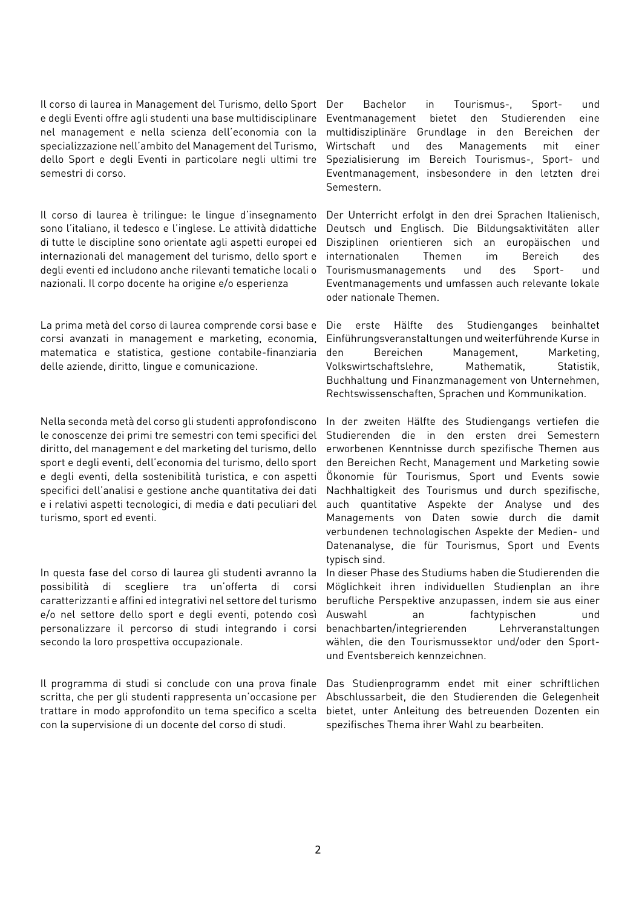Il corso di laurea in Management del Turismo, dello Sport e degli Eventi offre agli studenti una base multidisciplinare nel management e nella scienza dell'economia con la specializzazione nell'ambito del Management del Turismo, dello Sport e degli Eventi in particolare negli ultimi tre semestri di corso.

Il corso di laurea è trilingue: le lingue d'insegnamento sono l'italiano, il tedesco e l'inglese. Le attività didattiche di tutte le discipline sono orientate agli aspetti europei ed internazionali del management del turismo, dello sport e degli eventi ed includono anche rilevanti tematiche locali o nazionali. Il corpo docente ha origine e/o esperienza

La prima metà del corso di laurea comprende corsi base e corsi avanzati in management e marketing, economia, matematica e statistica, gestione contabile-finanziaria delle aziende, diritto, lingue e comunicazione.

Nella seconda metà del corso gli studenti approfondiscono le conoscenze dei primi tre semestri con temi specifici del diritto, del management e del marketing del turismo, dello sport e degli eventi, dell'economia del turismo, dello sport e degli eventi, della sostenibilità turistica, e con aspetti specifici dell'analisi e gestione anche quantitativa dei dati e i relativi aspetti tecnologici, di media e dati peculiari del turismo, sport ed eventi.

In questa fase del corso di laurea gli studenti avranno la possibilità di scegliere tra un'offerta di corsi caratterizzanti e affini ed integrativi nel settore del turismo e/o nel settore dello sport e degli eventi, potendo così personalizzare il percorso di studi integrando i corsi secondo la loro prospettiva occupazionale.

Il programma di studi si conclude con una prova finale scritta, che per gli studenti rappresenta un'occasione per trattare in modo approfondito un tema specifico a scelta con la supervisione di un docente del corso di studi.

Bachelor in Tourismus-. Sport- und Eventmanagement bietet den Studierenden eine multidisziplinäre Grundlage in den Bereichen der Wirtschaft und des Managements mit einer Spezialisierung im Bereich Tourismus-, Sport- und Eventmanagement, insbesondere in den letzten drei Semestern.

Der Unterricht erfolgt in den drei Sprachen Italienisch, Deutsch und Englisch. Die Bildungsaktivitäten aller Disziplinen orientieren sich an europäischen und internationalen Themen im Bereich des Tourismusmanagements und des Sport- und Eventmanagements und umfassen auch relevante lokale oder nationale Themen.

Die erste Hälfte des Studienganges beinhaltet Einführungsveranstaltungen und weiterführende Kurse in den Bereichen Management, Marketing, Volkswirtschaftslehre, Mathematik, Statistik, Buchhaltung und Finanzmanagement von Unternehmen, Rechtswissenschaften, Sprachen und Kommunikation.

In der zweiten Hälfte des Studiengangs vertiefen die Studierenden die in den ersten drei Semestern erworbenen Kenntnisse durch spezifische Themen aus den Bereichen Recht, Management und Marketing sowie Ökonomie für Tourismus, Sport und Events sowie Nachhaltigkeit des Tourismus und durch spezifische, auch quantitative Aspekte der Analyse und des Managements von Daten sowie durch die damit verbundenen technologischen Aspekte der Medien- und Datenanalyse, die für Tourismus, Sport und Events typisch sind.

In dieser Phase des Studiums haben die Studierenden die Möglichkeit ihren individuellen Studienplan an ihre berufliche Perspektive anzupassen, indem sie aus einer Auswahl an fachtypischen und benachbarten/integrierenden Lehrveranstaltungen wählen, die den Tourismussektor und/oder den Sportund Eventsbereich kennzeichnen.

Das Studienprogramm endet mit einer schriftlichen Abschlussarbeit, die den Studierenden die Gelegenheit bietet, unter Anleitung des betreuenden Dozenten ein spezifisches Thema ihrer Wahl zu bearbeiten.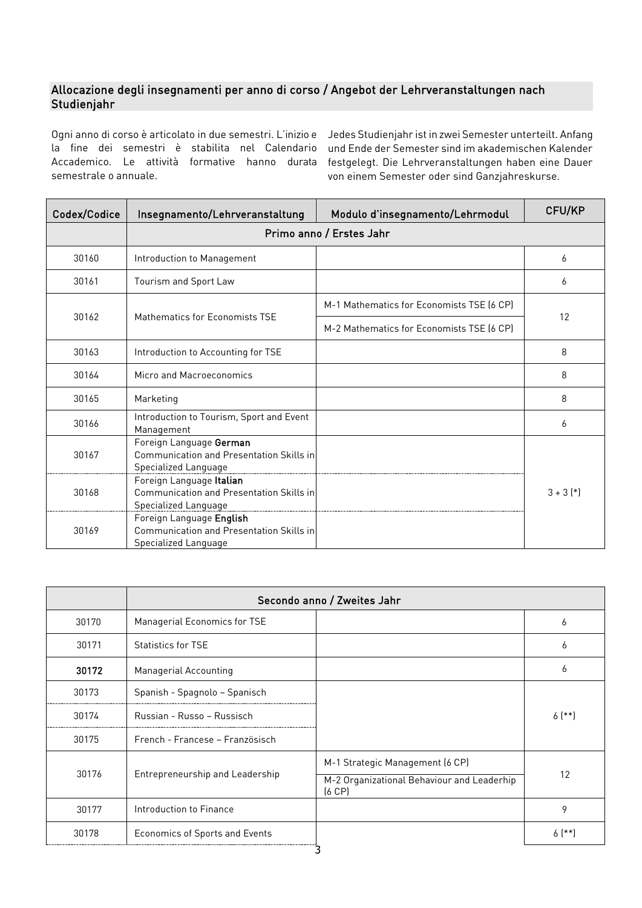# Allocazione degli insegnamenti per anno di corso / Angebot der Lehrveranstaltungen nach Studienjahr

Ogni anno di corso è articolato in due semestri. L'inizio e Jedes Studienjahr ist in zwei Semester unterteilt. Anfang la fine dei semestri è stabilita nel Calendario und Ende der Semester sind im akademischen Kalender Accademico. Le attività formative hanno durata festgelegt. Die Lehrveranstaltungen haben eine Dauer semestrale o annuale.

von einem Semester oder sind Ganzjahreskurse.

| Codex/Codice | Modulo d'insegnamento/Lehrmodul<br>Insegnamento/Lehrveranstaltung                            |                                           | CFU/KP      |  |  |
|--------------|----------------------------------------------------------------------------------------------|-------------------------------------------|-------------|--|--|
|              | Primo anno / Erstes Jahr                                                                     |                                           |             |  |  |
| 30160        | Introduction to Management                                                                   |                                           | 6           |  |  |
| 30161        | Tourism and Sport Law                                                                        |                                           | 6           |  |  |
| 30162        | Mathematics for Economists TSE                                                               | M-1 Mathematics for Economists TSE [6 CP] | 12          |  |  |
|              |                                                                                              | M-2 Mathematics for Economists TSE [6 CP] |             |  |  |
| 30163        | Introduction to Accounting for TSE                                                           |                                           | 8           |  |  |
| 30164        | Micro and Macroeconomics                                                                     |                                           | 8           |  |  |
| 30165        | Marketing                                                                                    |                                           | 8           |  |  |
| 30166        | Introduction to Tourism, Sport and Event<br>Management                                       |                                           | 6           |  |  |
| 30167        | Foreign Language German<br>Communication and Presentation Skills in<br>Specialized Language  |                                           |             |  |  |
| 30168        | Foreign Language Italian<br>Communication and Presentation Skills in<br>Specialized Language |                                           | $3 + 3$ $*$ |  |  |
| 30169        | Foreign Language English<br>Communication and Presentation Skills in<br>Specialized Language |                                           |             |  |  |

|       | Secondo anno / Zweites Jahr     |                                                           |          |  |
|-------|---------------------------------|-----------------------------------------------------------|----------|--|
| 30170 | Managerial Economics for TSE    |                                                           | 6        |  |
| 30171 | <b>Statistics for TSE</b>       |                                                           | 6        |  |
| 30172 | Managerial Accounting           |                                                           | 6        |  |
| 30173 | Spanish - Spagnolo - Spanisch   |                                                           |          |  |
| 30174 | Russian - Russo - Russisch      |                                                           | $6$ (**) |  |
| 30175 | French - Francese - Französisch |                                                           |          |  |
|       | Entrepreneurship and Leadership | M-1 Strategic Management (6 CP)                           |          |  |
| 30176 |                                 | M-2 Organizational Behaviour and Leaderhip<br>$(6$ CP $)$ | 12       |  |
| 30177 | Introduction to Finance         |                                                           | 9        |  |
| 30178 | Economics of Sports and Events  |                                                           | $6$ (**) |  |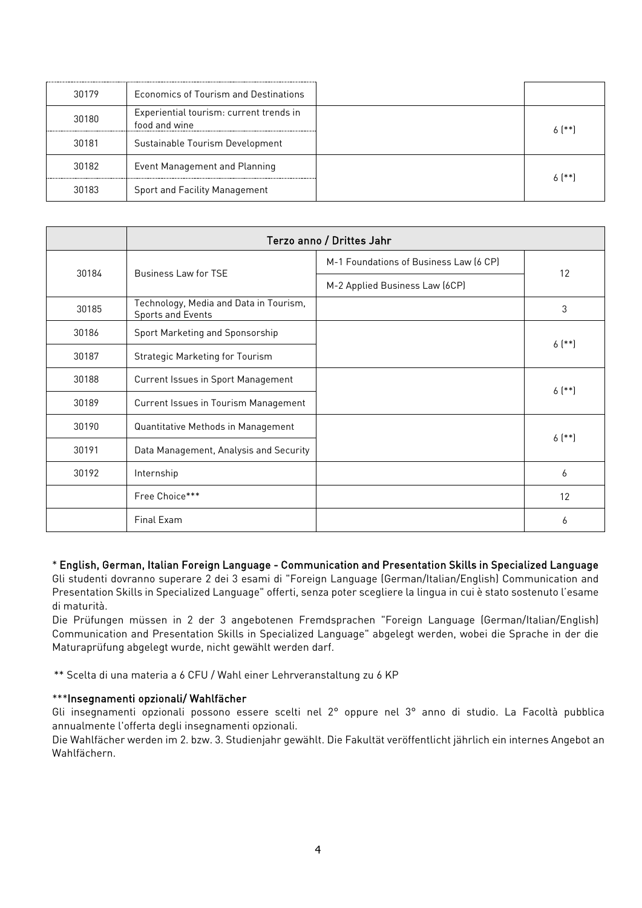| 30179 | Economics of Tourism and Destinations                    |          |
|-------|----------------------------------------------------------|----------|
| 30180 | Experiential tourism: current trends in<br>food and wine | $6$ [**] |
| 30181 | Sustainable Tourism Development                          |          |
| 30182 | Event Management and Planning                            | $6$ [**] |
| 30183 | <b>Sport and Facility Management</b>                     |          |

|       | Terzo anno / Drittes Jahr                                   |                                        |          |  |
|-------|-------------------------------------------------------------|----------------------------------------|----------|--|
| 30184 |                                                             | M-1 Foundations of Business Law (6 CP) | 12       |  |
|       | <b>Business Law for TSE</b>                                 | M-2 Applied Business Law (6CP)         |          |  |
| 30185 | Technology, Media and Data in Tourism,<br>Sports and Events |                                        | 3        |  |
| 30186 | Sport Marketing and Sponsorship                             |                                        | $6$ (**) |  |
| 30187 | <b>Strategic Marketing for Tourism</b>                      |                                        |          |  |
| 30188 | Current Issues in Sport Management                          |                                        | $6$ (**) |  |
| 30189 | Current Issues in Tourism Management                        |                                        |          |  |
| 30190 | Quantitative Methods in Management                          |                                        | $6$ (**) |  |
| 30191 | Data Management, Analysis and Security                      |                                        |          |  |
| 30192 | Internship                                                  |                                        | 6        |  |
|       | Free Choice***                                              |                                        | 12       |  |
|       | Final Exam                                                  |                                        | 6        |  |

### \* English, German, Italian Foreign Language - Communication and Presentation Skills in Specialized Language Gli studenti dovranno superare 2 dei 3 esami di "Foreign Language (German/Italian/English) Communication and

Presentation Skills in Specialized Language" offerti, senza poter scegliere la lingua in cui è stato sostenuto l'esame di maturità.

Die Prüfungen müssen in 2 der 3 angebotenen Fremdsprachen "Foreign Language (German/Italian/English) Communication and Presentation Skills in Specialized Language" abgelegt werden, wobei die Sprache in der die Maturaprüfung abgelegt wurde, nicht gewählt werden darf.

\*\* Scelta di una materia a 6 CFU / Wahl einer Lehrveranstaltung zu 6 KP

# \*\*\*Insegnamenti opzionali/ Wahlfächer

Gli insegnamenti opzionali possono essere scelti nel 2° oppure nel 3° anno di studio. La Facoltà pubblica annualmente l'offerta degli insegnamenti opzionali.

Die Wahlfächer werden im 2. bzw. 3. Studienjahr gewählt. Die Fakultät veröffentlicht jährlich ein internes Angebot an Wahlfächern.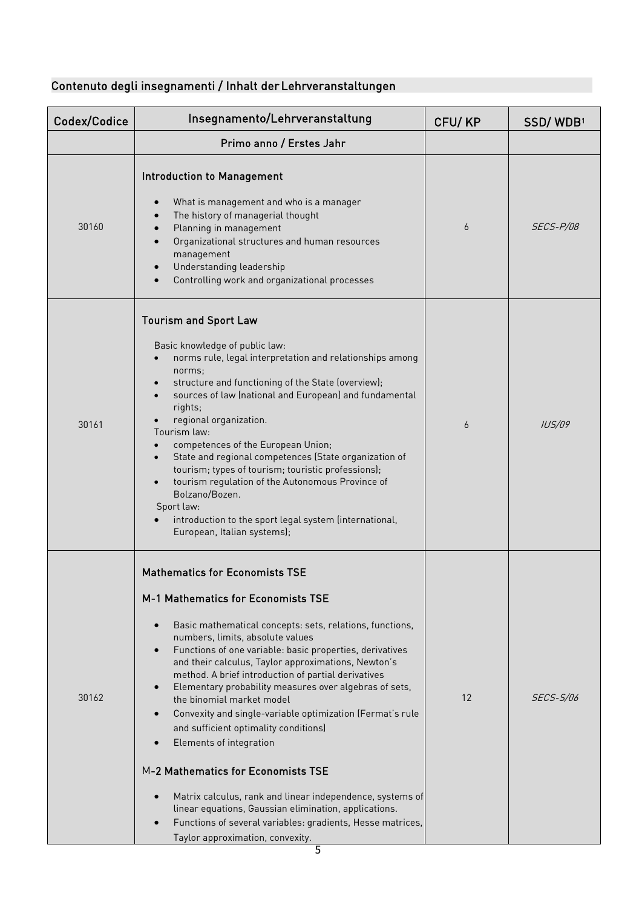# Contenuto degli insegnamenti / Inhalt der Lehrveranstaltungen

| Codex/Codice | Insegnamento/Lehrveranstaltung                                                                                                                                                                                                                                                                                                                                                                                                                                                                                                                                                                                                                                                                                                                                                                                                              | CFU/KP | SSD/WDB1         |
|--------------|---------------------------------------------------------------------------------------------------------------------------------------------------------------------------------------------------------------------------------------------------------------------------------------------------------------------------------------------------------------------------------------------------------------------------------------------------------------------------------------------------------------------------------------------------------------------------------------------------------------------------------------------------------------------------------------------------------------------------------------------------------------------------------------------------------------------------------------------|--------|------------------|
|              | Primo anno / Erstes Jahr                                                                                                                                                                                                                                                                                                                                                                                                                                                                                                                                                                                                                                                                                                                                                                                                                    |        |                  |
| 30160        | <b>Introduction to Management</b><br>What is management and who is a manager<br>The history of managerial thought<br>Planning in management<br>Organizational structures and human resources<br>management<br>Understanding leadership<br>Controlling work and organizational processes                                                                                                                                                                                                                                                                                                                                                                                                                                                                                                                                                     | 6      | SECS-P/08        |
| 30161        | <b>Tourism and Sport Law</b><br>Basic knowledge of public law:<br>norms rule, legal interpretation and relationships among<br>norms;<br>structure and functioning of the State (overview);<br>sources of law (national and European) and fundamental<br>rights;<br>regional organization.<br>Tourism law:<br>competences of the European Union;<br>State and regional competences (State organization of<br>tourism; types of tourism; touristic professions);<br>tourism regulation of the Autonomous Province of<br>Bolzano/Bozen.<br>Sport law:<br>introduction to the sport legal system (international,<br>European, Italian systems);                                                                                                                                                                                                 | 6      | IUS/09           |
| 30162        | <b>Mathematics for Economists TSE</b><br>M-1 Mathematics for Economists TSE<br>Basic mathematical concepts: sets, relations, functions,<br>numbers, limits, absolute values<br>Functions of one variable: basic properties, derivatives<br>and their calculus, Taylor approximations, Newton's<br>method. A brief introduction of partial derivatives<br>Elementary probability measures over algebras of sets,<br>the binomial market model<br>Convexity and single-variable optimization (Fermat's rule<br>and sufficient optimality conditions)<br>Elements of integration<br>M-2 Mathematics for Economists TSE<br>Matrix calculus, rank and linear independence, systems of<br>linear equations, Gaussian elimination, applications.<br>Functions of several variables: gradients, Hesse matrices,<br>Taylor approximation, convexity. | 12     | <i>SECS-S/06</i> |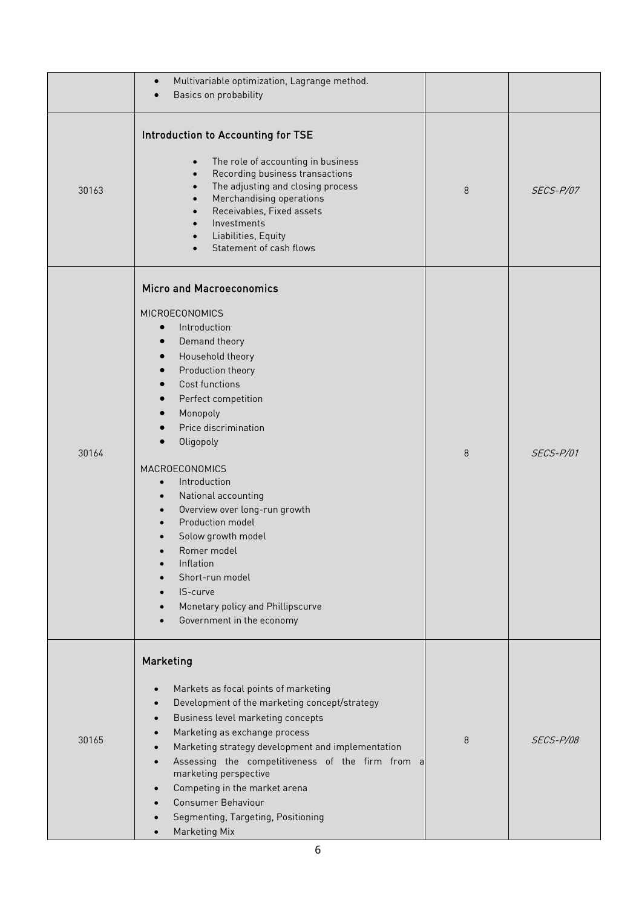|       | Multivariable optimization, Lagrange method.<br>$\bullet$<br>Basics on probability<br>$\bullet$                                                                                                                                                                                                                                                                                                                                                                                                                                                                                                                                                                                                                            |   |           |
|-------|----------------------------------------------------------------------------------------------------------------------------------------------------------------------------------------------------------------------------------------------------------------------------------------------------------------------------------------------------------------------------------------------------------------------------------------------------------------------------------------------------------------------------------------------------------------------------------------------------------------------------------------------------------------------------------------------------------------------------|---|-----------|
| 30163 | Introduction to Accounting for TSE<br>The role of accounting in business<br>$\bullet$<br>Recording business transactions<br>$\bullet$<br>The adjusting and closing process<br>$\bullet$<br>Merchandising operations<br>$\bullet$<br>Receivables, Fixed assets<br>$\bullet$<br>Investments<br>$\bullet$<br>Liabilities, Equity<br>$\bullet$<br>Statement of cash flows                                                                                                                                                                                                                                                                                                                                                      | 8 | SECS-P/07 |
| 30164 | <b>Micro and Macroeconomics</b><br><b>MICROECONOMICS</b><br>Introduction<br>$\bullet$<br>Demand theory<br>$\bullet$<br>Household theory<br>$\bullet$<br>Production theory<br>$\bullet$<br>Cost functions<br>$\bullet$<br>Perfect competition<br>$\bullet$<br>Monopoly<br>$\bullet$<br>Price discrimination<br>Oligopoly<br>$\bullet$<br>MACROECONOMICS<br>Introduction<br>$\bullet$<br>National accounting<br>$\bullet$<br>Overview over long-run growth<br>$\bullet$<br>Production model<br>$\bullet$<br>Solow growth model<br>$\bullet$<br>Romer model<br>Inflation<br>$\bullet$<br>Short-run model<br>IS-curve<br>$\bullet$<br>Monetary policy and Phillipscurve<br>$\bullet$<br>Government in the economy<br>$\bullet$ | 8 | SECS-P/01 |
| 30165 | Marketing<br>Markets as focal points of marketing<br>Development of the marketing concept/strategy<br>Business level marketing concepts<br>Marketing as exchange process<br>Marketing strategy development and implementation<br>$\bullet$<br>Assessing the competitiveness of the firm from a<br>$\bullet$<br>marketing perspective<br>Competing in the market arena<br><b>Consumer Behaviour</b><br>Segmenting, Targeting, Positioning<br><b>Marketing Mix</b>                                                                                                                                                                                                                                                           | 8 | SECS-P/08 |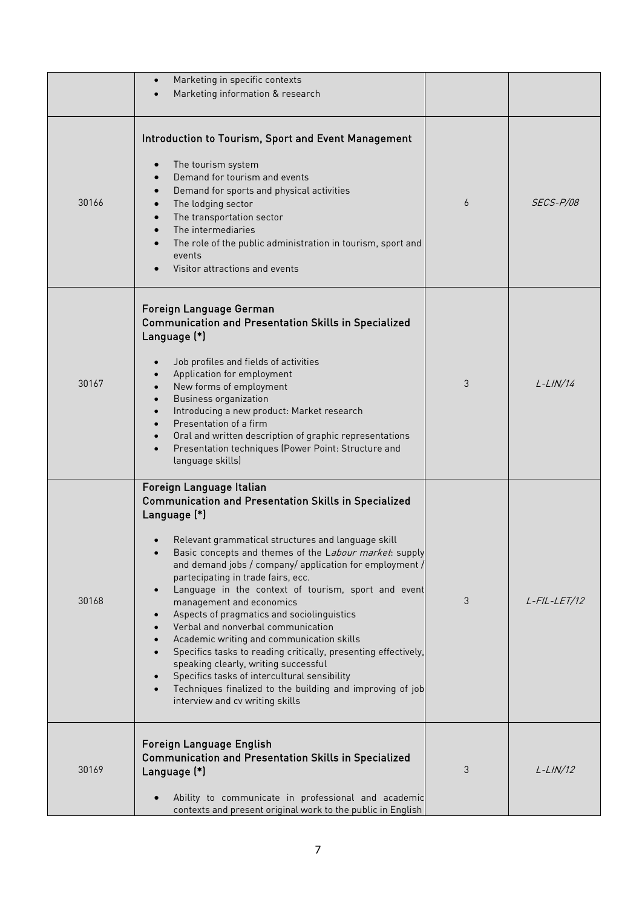|       | Marketing in specific contexts<br>$\bullet$<br>Marketing information & research                                                                                                                                                                                                                                                                                                                                                                                                                                                                                                                                                                                                                                                                                                                                     |   |                 |
|-------|---------------------------------------------------------------------------------------------------------------------------------------------------------------------------------------------------------------------------------------------------------------------------------------------------------------------------------------------------------------------------------------------------------------------------------------------------------------------------------------------------------------------------------------------------------------------------------------------------------------------------------------------------------------------------------------------------------------------------------------------------------------------------------------------------------------------|---|-----------------|
| 30166 | Introduction to Tourism, Sport and Event Management<br>The tourism system<br>Demand for tourism and events<br>Demand for sports and physical activities<br>The lodging sector<br>The transportation sector<br>The intermediaries<br>The role of the public administration in tourism, sport and<br>events<br>Visitor attractions and events                                                                                                                                                                                                                                                                                                                                                                                                                                                                         | 6 | SECS-P/08       |
| 30167 | Foreign Language German<br><b>Communication and Presentation Skills in Specialized</b><br>Language (*)<br>Job profiles and fields of activities<br>Application for employment<br>New forms of employment<br><b>Business organization</b><br>Introducing a new product: Market research<br>Presentation of a firm<br>Oral and written description of graphic representations<br>Presentation techniques (Power Point: Structure and<br>$\bullet$<br>language skills)                                                                                                                                                                                                                                                                                                                                                 | 3 | $L-LIN/14$      |
| 30168 | Foreign Language Italian<br><b>Communication and Presentation Skills in Specialized</b><br>Language (*)<br>Relevant grammatical structures and language skill<br>Basic concepts and themes of the Labour market: supply<br>and demand jobs / company/ application for employment /<br>partecipating in trade fairs, ecc.<br>Language in the context of tourism, sport and event<br>$\bullet$<br>management and economics<br>Aspects of pragmatics and sociolinguistics<br>Verbal and nonverbal communication<br>Academic writing and communication skills<br>Specifics tasks to reading critically, presenting effectively,<br>speaking clearly, writing successful<br>Specifics tasks of intercultural sensibility<br>Techniques finalized to the building and improving of job<br>interview and cv writing skills | 3 | $L$ -FIL-LET/12 |
| 30169 | Foreign Language English<br><b>Communication and Presentation Skills in Specialized</b><br>Language (*)<br>Ability to communicate in professional and academic<br>contexts and present original work to the public in English                                                                                                                                                                                                                                                                                                                                                                                                                                                                                                                                                                                       | 3 | $L-LIN/12$      |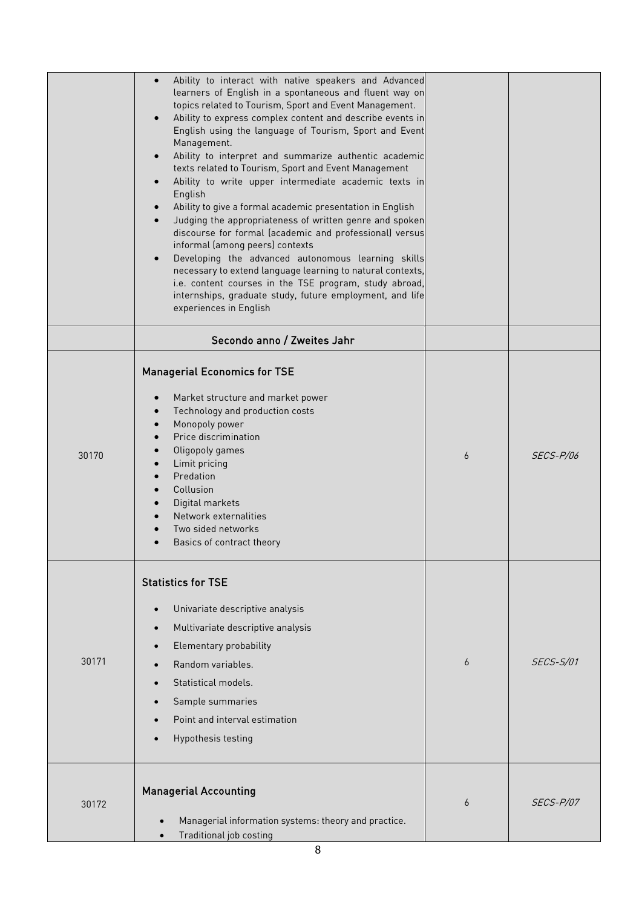|       | Ability to interact with native speakers and Advanced<br>$\bullet$<br>learners of English in a spontaneous and fluent way on<br>topics related to Tourism, Sport and Event Management.<br>Ability to express complex content and describe events in<br>$\bullet$<br>English using the language of Tourism, Sport and Event<br>Management.<br>Ability to interpret and summarize authentic academic<br>texts related to Tourism, Sport and Event Management<br>Ability to write upper intermediate academic texts in<br>English<br>Ability to give a formal academic presentation in English<br>Judging the appropriateness of written genre and spoken<br>discourse for formal (academic and professional) versus<br>informal (among peers) contexts<br>Developing the advanced autonomous learning skills<br>necessary to extend language learning to natural contexts,<br>i.e. content courses in the TSE program, study abroad,<br>internships, graduate study, future employment, and life<br>experiences in English |   |                  |
|-------|--------------------------------------------------------------------------------------------------------------------------------------------------------------------------------------------------------------------------------------------------------------------------------------------------------------------------------------------------------------------------------------------------------------------------------------------------------------------------------------------------------------------------------------------------------------------------------------------------------------------------------------------------------------------------------------------------------------------------------------------------------------------------------------------------------------------------------------------------------------------------------------------------------------------------------------------------------------------------------------------------------------------------|---|------------------|
|       | Secondo anno / Zweites Jahr                                                                                                                                                                                                                                                                                                                                                                                                                                                                                                                                                                                                                                                                                                                                                                                                                                                                                                                                                                                              |   |                  |
| 30170 | <b>Managerial Economics for TSE</b><br>Market structure and market power<br>Technology and production costs<br>Monopoly power<br>Price discrimination<br>Oligopoly games<br>Limit pricing<br>Predation<br>Collusion<br>Digital markets<br>Network externalities<br>Two sided networks<br>Basics of contract theory                                                                                                                                                                                                                                                                                                                                                                                                                                                                                                                                                                                                                                                                                                       | 6 | <b>SECS-P/06</b> |
| 30171 | <b>Statistics for TSE</b><br>Univariate descriptive analysis<br>$\bullet$<br>Multivariate descriptive analysis<br>Elementary probability<br>Random variables.<br>Statistical models.<br>Sample summaries<br>$\bullet$<br>Point and interval estimation<br>Hypothesis testing                                                                                                                                                                                                                                                                                                                                                                                                                                                                                                                                                                                                                                                                                                                                             | 6 | <b>SECS-S/01</b> |
| 30172 | <b>Managerial Accounting</b><br>Managerial information systems: theory and practice.<br>Traditional job costing<br>$\bullet$                                                                                                                                                                                                                                                                                                                                                                                                                                                                                                                                                                                                                                                                                                                                                                                                                                                                                             | 6 | <i>SECS-P/07</i> |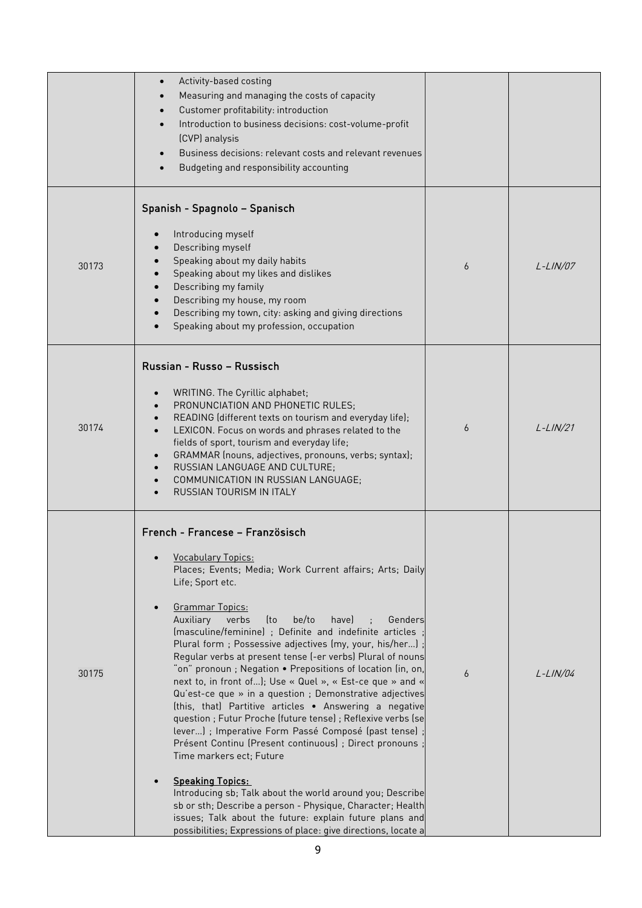|       | Activity-based costing<br>$\bullet$<br>Measuring and managing the costs of capacity<br>$\bullet$<br>Customer profitability: introduction<br>$\bullet$<br>Introduction to business decisions: cost-volume-profit<br>$\bullet$<br>(CVP) analysis<br>Business decisions: relevant costs and relevant revenues<br>$\bullet$<br>Budgeting and responsibility accounting<br>$\bullet$                                                                                                                                                                                                                                                                                                                                                                                                                                                                                                                                                                                                                                                                                                                                                                                                    |   |             |
|-------|------------------------------------------------------------------------------------------------------------------------------------------------------------------------------------------------------------------------------------------------------------------------------------------------------------------------------------------------------------------------------------------------------------------------------------------------------------------------------------------------------------------------------------------------------------------------------------------------------------------------------------------------------------------------------------------------------------------------------------------------------------------------------------------------------------------------------------------------------------------------------------------------------------------------------------------------------------------------------------------------------------------------------------------------------------------------------------------------------------------------------------------------------------------------------------|---|-------------|
| 30173 | Spanish - Spagnolo - Spanisch<br>Introducing myself<br>Describing myself<br>Speaking about my daily habits<br>Speaking about my likes and dislikes<br>Describing my family<br>Describing my house, my room<br>Describing my town, city: asking and giving directions<br>Speaking about my profession, occupation                                                                                                                                                                                                                                                                                                                                                                                                                                                                                                                                                                                                                                                                                                                                                                                                                                                                   | 6 | $L-LIN/07$  |
| 30174 | Russian - Russo - Russisch<br>WRITING. The Cyrillic alphabet;<br>$\bullet$<br>PRONUNCIATION AND PHONETIC RULES;<br>READING (different texts on tourism and everyday life);<br>LEXICON. Focus on words and phrases related to the<br>$\bullet$<br>fields of sport, tourism and everyday life;<br>GRAMMAR (nouns, adjectives, pronouns, verbs; syntax);<br>RUSSIAN LANGUAGE AND CULTURE;<br>COMMUNICATION IN RUSSIAN LANGUAGE;<br><b>RUSSIAN TOURISM IN ITALY</b>                                                                                                                                                                                                                                                                                                                                                                                                                                                                                                                                                                                                                                                                                                                    | 6 | $L-LIN/21$  |
| 30175 | French - Francese - Französisch<br><b>Vocabulary Topics:</b><br>Places; Events; Media; Work Current affairs; Arts; Daily<br>Life; Sport etc.<br><b>Grammar Topics:</b><br>$\bullet$<br>Auxiliary<br>verbs<br>be/to<br>havel<br>lto<br>Genders<br>(masculine/feminine) ; Definite and indefinite articles<br>Plural form; Possessive adjectives (my, your, his/her)<br>Regular verbs at present tense (-er verbs) Plural of nouns<br>"on" pronoun ; Negation • Prepositions of location (in, on,<br>next to, in front of); Use « Quel », « Est-ce que » and «<br>Qu'est-ce que » in a question ; Demonstrative adjectives<br>(this, that) Partitive articles . Answering a negative<br>question ; Futur Proche (future tense) ; Reflexive verbs (se<br>lever) ; Imperative Form Passé Composé (past tense)<br>Présent Continu (Present continuous) ; Direct pronouns<br>Time markers ect; Future<br><b>Speaking Topics:</b><br>Introducing sb; Talk about the world around you; Describe<br>sb or sth; Describe a person - Physique, Character; Health<br>issues; Talk about the future: explain future plans and<br>possibilities; Expressions of place: give directions, locate a | 6 | $L$ -LIN/04 |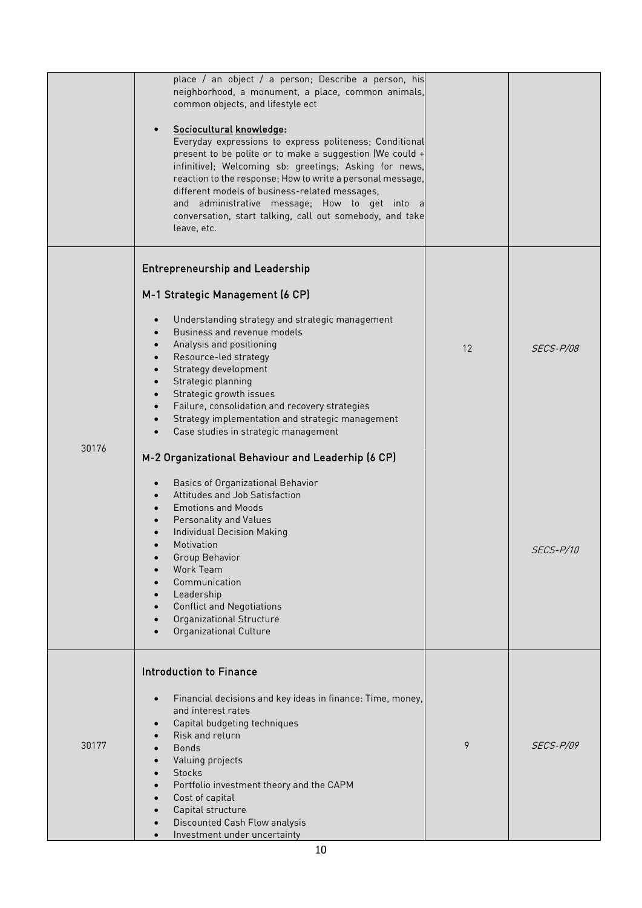|       | place / an object / a person; Describe a person, his<br>neighborhood, a monument, a place, common animals,                                                                                                                                                                                                                                                                                                                                            |    |                  |
|-------|-------------------------------------------------------------------------------------------------------------------------------------------------------------------------------------------------------------------------------------------------------------------------------------------------------------------------------------------------------------------------------------------------------------------------------------------------------|----|------------------|
|       | common objects, and lifestyle ect                                                                                                                                                                                                                                                                                                                                                                                                                     |    |                  |
|       | Sociocultural knowledge:<br>Everyday expressions to express politeness; Conditional<br>present to be polite or to make a suggestion (We could +<br>infinitive); Welcoming sb: greetings; Asking for news,<br>reaction to the response; How to write a personal message,<br>different models of business-related messages,<br>and administrative message; How to get into a<br>conversation, start talking, call out somebody, and take<br>leave, etc. |    |                  |
|       | <b>Entrepreneurship and Leadership</b>                                                                                                                                                                                                                                                                                                                                                                                                                |    |                  |
|       | M-1 Strategic Management (6 CP)                                                                                                                                                                                                                                                                                                                                                                                                                       |    |                  |
|       | Understanding strategy and strategic management<br>Business and revenue models<br>Analysis and positioning<br>Resource-led strategy                                                                                                                                                                                                                                                                                                                   | 12 | <i>SECS-P/08</i> |
|       | Strategy development<br>Strategic planning<br>Strategic growth issues                                                                                                                                                                                                                                                                                                                                                                                 |    |                  |
|       | Failure, consolidation and recovery strategies<br>Strategy implementation and strategic management<br>$\bullet$<br>Case studies in strategic management                                                                                                                                                                                                                                                                                               |    |                  |
| 30176 | M-2 Organizational Behaviour and Leaderhip (6 CP)                                                                                                                                                                                                                                                                                                                                                                                                     |    |                  |
|       | Basics of Organizational Behavior<br>Attitudes and Job Satisfaction                                                                                                                                                                                                                                                                                                                                                                                   |    |                  |
|       | <b>Emotions and Moods</b><br>Personality and Values                                                                                                                                                                                                                                                                                                                                                                                                   |    |                  |
|       | <b>Individual Decision Making</b><br>Motivation<br>Group Behavior                                                                                                                                                                                                                                                                                                                                                                                     |    | <i>SECS-P/10</i> |
|       | Work Team<br>Communication                                                                                                                                                                                                                                                                                                                                                                                                                            |    |                  |
|       | Leadership<br><b>Conflict and Negotiations</b>                                                                                                                                                                                                                                                                                                                                                                                                        |    |                  |
|       | Organizational Structure<br><b>Organizational Culture</b>                                                                                                                                                                                                                                                                                                                                                                                             |    |                  |
|       | <b>Introduction to Finance</b>                                                                                                                                                                                                                                                                                                                                                                                                                        |    |                  |
|       | Financial decisions and key ideas in finance: Time, money,                                                                                                                                                                                                                                                                                                                                                                                            |    |                  |
|       | and interest rates<br>Capital budgeting techniques                                                                                                                                                                                                                                                                                                                                                                                                    |    |                  |
| 30177 | Risk and return<br><b>Bonds</b>                                                                                                                                                                                                                                                                                                                                                                                                                       | 9  | SECS-P/09        |
|       | Valuing projects<br><b>Stocks</b>                                                                                                                                                                                                                                                                                                                                                                                                                     |    |                  |
|       | Portfolio investment theory and the CAPM<br>Cost of capital                                                                                                                                                                                                                                                                                                                                                                                           |    |                  |
|       | Capital structure<br>Discounted Cash Flow analysis                                                                                                                                                                                                                                                                                                                                                                                                    |    |                  |
|       | Investment under uncertainty                                                                                                                                                                                                                                                                                                                                                                                                                          |    |                  |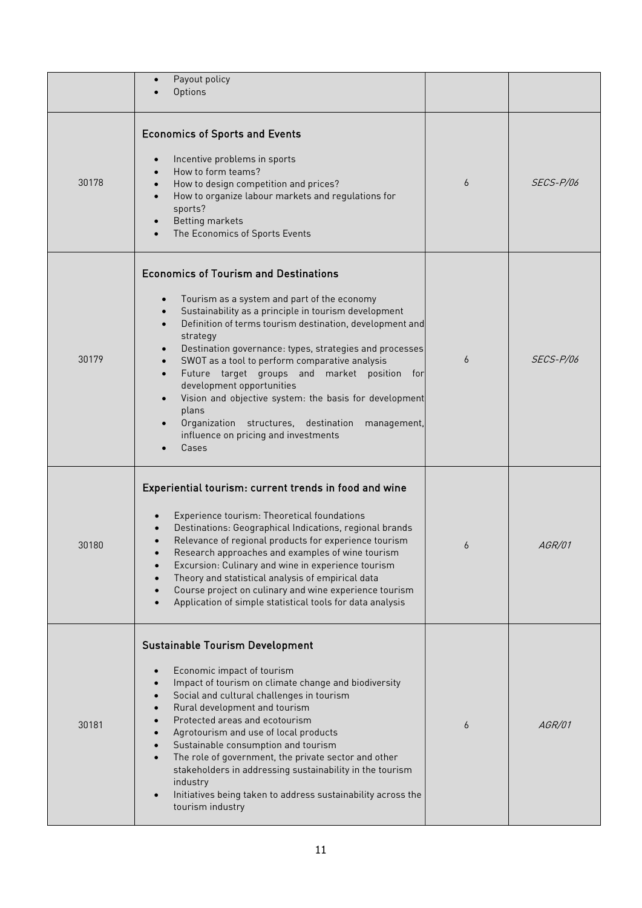|       | Payout policy<br>Options                                                                                                                                                                                                                                                                                                                                                                                                                                                                                                                                                                         |   |                  |
|-------|--------------------------------------------------------------------------------------------------------------------------------------------------------------------------------------------------------------------------------------------------------------------------------------------------------------------------------------------------------------------------------------------------------------------------------------------------------------------------------------------------------------------------------------------------------------------------------------------------|---|------------------|
| 30178 | <b>Economics of Sports and Events</b><br>Incentive problems in sports<br>How to form teams?<br>How to design competition and prices?<br>How to organize labour markets and regulations for<br>sports?<br><b>Betting markets</b><br>The Economics of Sports Events                                                                                                                                                                                                                                                                                                                                | 6 | <i>SECS-P/06</i> |
| 30179 | <b>Economics of Tourism and Destinations</b><br>Tourism as a system and part of the economy<br>Sustainability as a principle in tourism development<br>Definition of terms tourism destination, development and<br>strategy<br>Destination governance: types, strategies and processes<br>SWOT as a tool to perform comparative analysis<br>Future target groups and market position for<br>development opportunities<br>Vision and objective system: the basis for development<br>plans<br>Organization structures, destination<br>management,<br>influence on pricing and investments<br>Cases | 6 | SECS-P/06        |
| 30180 | Experiential tourism: current trends in food and wine<br>Experience tourism: Theoretical foundations<br>Destinations: Geographical Indications, regional brands<br>Relevance of regional products for experience tourism<br>Research approaches and examples of wine tourism<br>Excursion: Culinary and wine in experience tourism<br>Theory and statistical analysis of empirical data<br>Course project on culinary and wine experience tourism<br>Application of simple statistical tools for data analysis                                                                                   | 6 | AGR/01           |
| 30181 | <b>Sustainable Tourism Development</b><br>Economic impact of tourism<br>Impact of tourism on climate change and biodiversity<br>Social and cultural challenges in tourism<br>Rural development and tourism<br>Protected areas and ecotourism<br>Agrotourism and use of local products<br>Sustainable consumption and tourism<br>The role of government, the private sector and other<br>stakeholders in addressing sustainability in the tourism<br>industry<br>Initiatives being taken to address sustainability across the<br>tourism industry                                                 | 6 | AGR/01           |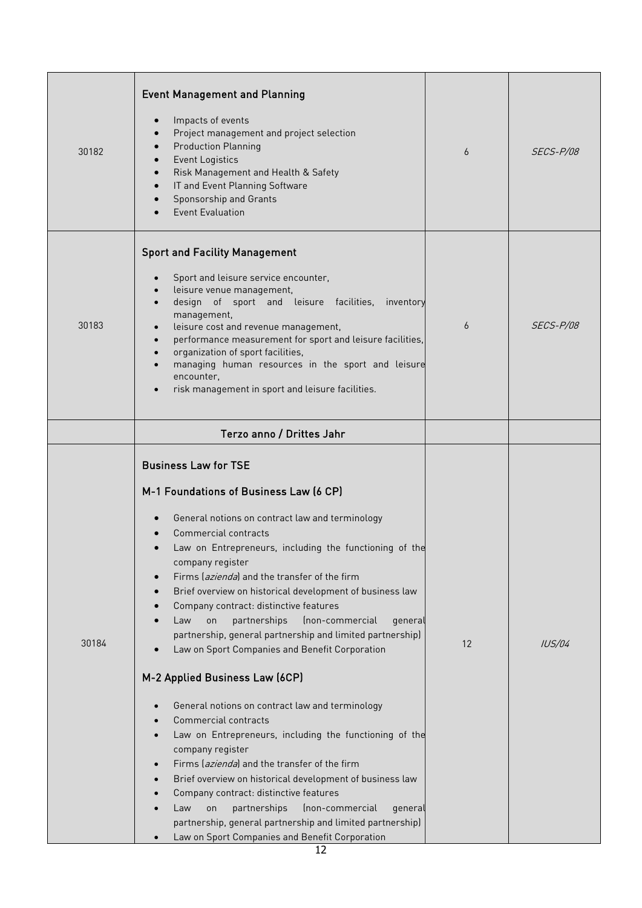| 30182 | <b>Event Management and Planning</b><br>Impacts of events<br>Project management and project selection<br><b>Production Planning</b><br><b>Event Logistics</b><br>Risk Management and Health & Safety<br>IT and Event Planning Software<br>Sponsorship and Grants<br><b>Event Evaluation</b>                                                                                                                                                                                                                                                                                                                                                                                                                                                                                                                                                                                                                                                                                                                                                                                              | 6  | <i>SECS-P/08</i> |
|-------|------------------------------------------------------------------------------------------------------------------------------------------------------------------------------------------------------------------------------------------------------------------------------------------------------------------------------------------------------------------------------------------------------------------------------------------------------------------------------------------------------------------------------------------------------------------------------------------------------------------------------------------------------------------------------------------------------------------------------------------------------------------------------------------------------------------------------------------------------------------------------------------------------------------------------------------------------------------------------------------------------------------------------------------------------------------------------------------|----|------------------|
| 30183 | <b>Sport and Facility Management</b><br>Sport and leisure service encounter,<br>leisure venue management,<br>design of sport and leisure facilities,<br>inventory<br>management,<br>leisure cost and revenue management,<br>performance measurement for sport and leisure facilities,<br>organization of sport facilities,<br>managing human resources in the sport and leisure<br>encounter,<br>risk management in sport and leisure facilities.                                                                                                                                                                                                                                                                                                                                                                                                                                                                                                                                                                                                                                        | 6  | SECS-P/08        |
|       | Terzo anno / Drittes Jahr                                                                                                                                                                                                                                                                                                                                                                                                                                                                                                                                                                                                                                                                                                                                                                                                                                                                                                                                                                                                                                                                |    |                  |
| 30184 | <b>Business Law for TSE</b><br>M-1 Foundations of Business Law (6 CP)<br>General notions on contract law and terminology<br>Commercial contracts<br>Law on Entrepreneurs, including the functioning of the<br>company register<br>Firms (azienda) and the transfer of the firm<br>Brief overview on historical development of business law<br>Company contract: distinctive features<br>partnerships<br>(non-commercial<br>Law<br>on<br>general<br>partnership, general partnership and limited partnership)<br>Law on Sport Companies and Benefit Corporation<br>M-2 Applied Business Law (6CP)<br>General notions on contract law and terminology<br>Commercial contracts<br>Law on Entrepreneurs, including the functioning of the<br>company register<br>Firms (azienda) and the transfer of the firm<br>Brief overview on historical development of business law<br>Company contract: distinctive features<br>partnerships<br>(non-commercial<br>Law<br>genera<br>on<br>partnership, general partnership and limited partnership)<br>Law on Sport Companies and Benefit Corporation | 12 | IUS/04           |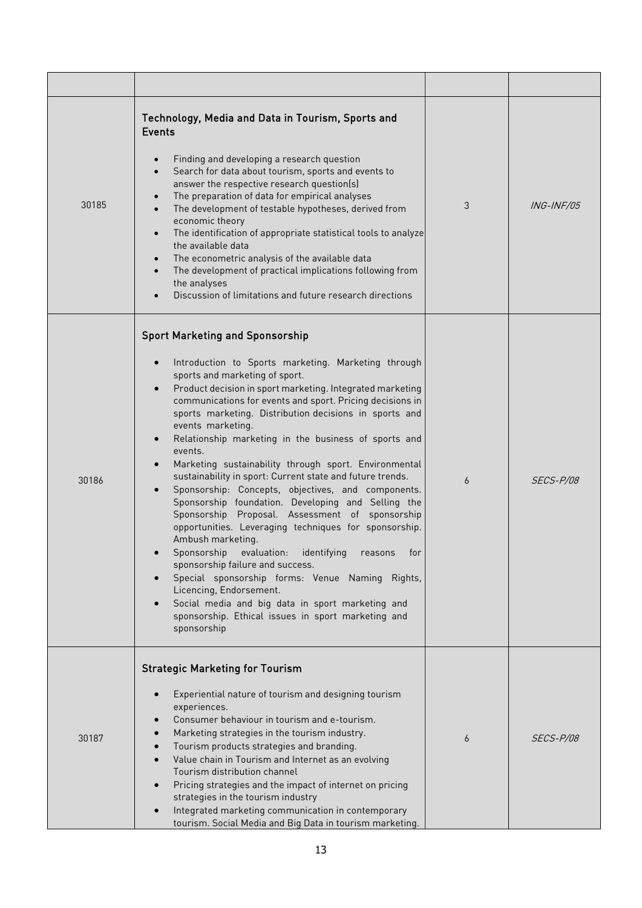| 30185 | Technology, Media and Data in Tourism, Sports and<br><b>Events</b><br>Finding and developing a research question<br>Search for data about tourism, sports and events to<br>$\bullet$<br>answer the respective research question(s)<br>The preparation of data for empirical analyses<br>$\bullet$<br>The development of testable hypotheses, derived from<br>$\bullet$<br>economic theory<br>The identification of appropriate statistical tools to analyze<br>$\bullet$<br>the available data<br>The econometric analysis of the available data<br>The development of practical implications following from<br>the analyses<br>Discussion of limitations and future research directions                                                                                                                                                                                                                                                                                                                                                                                                                            | 3              | <i>ING-INF/05</i> |
|-------|---------------------------------------------------------------------------------------------------------------------------------------------------------------------------------------------------------------------------------------------------------------------------------------------------------------------------------------------------------------------------------------------------------------------------------------------------------------------------------------------------------------------------------------------------------------------------------------------------------------------------------------------------------------------------------------------------------------------------------------------------------------------------------------------------------------------------------------------------------------------------------------------------------------------------------------------------------------------------------------------------------------------------------------------------------------------------------------------------------------------|----------------|-------------------|
| 30186 | <b>Sport Marketing and Sponsorship</b><br>Introduction to Sports marketing. Marketing through<br>$\bullet$<br>sports and marketing of sport.<br>Product decision in sport marketing. Integrated marketing<br>$\bullet$<br>communications for events and sport. Pricing decisions in<br>sports marketing. Distribution decisions in sports and<br>events marketing.<br>Relationship marketing in the business of sports and<br>$\bullet$<br>events.<br>Marketing sustainability through sport. Environmental<br>sustainability in sport: Current state and future trends.<br>Sponsorship: Concepts, objectives, and components.<br>Sponsorship foundation. Developing and Selling the<br>Sponsorship Proposal. Assessment of sponsorship<br>opportunities. Leveraging techniques for sponsorship.<br>Ambush marketing.<br>Sponsorship evaluation: identifying reasons for<br>sponsorship failure and success.<br>Special sponsorship forms: Venue Naming Rights,<br>Licencing, Endorsement.<br>Social media and big data in sport marketing and<br>sponsorship. Ethical issues in sport marketing and<br>sponsorship | $\overline{6}$ | SECS-P/08         |
| 30187 | <b>Strategic Marketing for Tourism</b><br>Experiential nature of tourism and designing tourism<br>$\bullet$<br>experiences.<br>Consumer behaviour in tourism and e-tourism.<br>Marketing strategies in the tourism industry.<br>Tourism products strategies and branding.<br>Value chain in Tourism and Internet as an evolving<br>$\bullet$<br>Tourism distribution channel<br>Pricing strategies and the impact of internet on pricing<br>$\bullet$<br>strategies in the tourism industry<br>Integrated marketing communication in contemporary<br>$\bullet$<br>tourism. Social Media and Big Data in tourism marketing.                                                                                                                                                                                                                                                                                                                                                                                                                                                                                          | 6              | SECS-P/08         |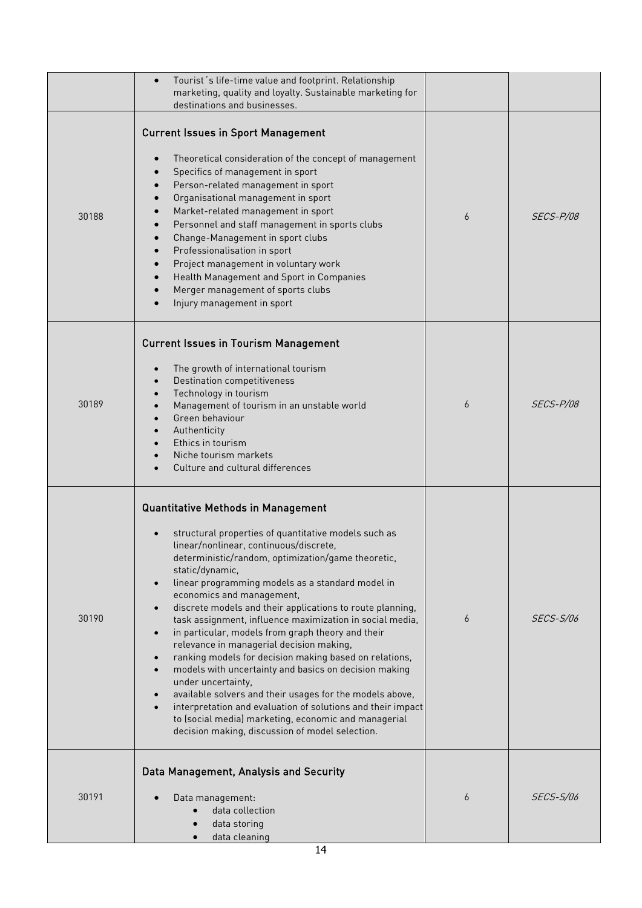|       | Tourist's life-time value and footprint. Relationship<br>$\bullet$<br>marketing, quality and loyalty. Sustainable marketing for<br>destinations and businesses.                                                                                                                                                                                                                                                                                                                                                                                                                                                                                                                                                                                                                                                                                                                                                                                       |   |                  |
|-------|-------------------------------------------------------------------------------------------------------------------------------------------------------------------------------------------------------------------------------------------------------------------------------------------------------------------------------------------------------------------------------------------------------------------------------------------------------------------------------------------------------------------------------------------------------------------------------------------------------------------------------------------------------------------------------------------------------------------------------------------------------------------------------------------------------------------------------------------------------------------------------------------------------------------------------------------------------|---|------------------|
| 30188 | <b>Current Issues in Sport Management</b><br>Theoretical consideration of the concept of management<br>Specifics of management in sport<br>Person-related management in sport<br>Organisational management in sport<br>Market-related management in sport<br>Personnel and staff management in sports clubs<br>Change-Management in sport clubs<br>Professionalisation in sport<br>Project management in voluntary work<br>Health Management and Sport in Companies<br>Merger management of sports clubs<br>Injury management in sport                                                                                                                                                                                                                                                                                                                                                                                                                | 6 | SECS-P/08        |
| 30189 | <b>Current Issues in Tourism Management</b><br>The growth of international tourism<br><b>Destination competitiveness</b><br>Technology in tourism<br>Management of tourism in an unstable world<br>Green behaviour<br>Authenticity<br>Ethics in tourism<br>Niche tourism markets<br>Culture and cultural differences                                                                                                                                                                                                                                                                                                                                                                                                                                                                                                                                                                                                                                  | 6 | SECS-P/08        |
| 30190 | <b>Quantitative Methods in Management</b><br>structural properties of quantitative models such as<br>linear/nonlinear, continuous/discrete,<br>deterministic/random, optimization/game theoretic,<br>static/dynamic,<br>linear programming models as a standard model in<br>$\bullet$<br>economics and management,<br>discrete models and their applications to route planning,<br>$\bullet$<br>task assignment, influence maximization in social media,<br>in particular, models from graph theory and their<br>$\bullet$<br>relevance in managerial decision making,<br>ranking models for decision making based on relations,<br>models with uncertainty and basics on decision making<br>under uncertainty,<br>available solvers and their usages for the models above,<br>interpretation and evaluation of solutions and their impact<br>to (social media) marketing, economic and managerial<br>decision making, discussion of model selection. | 6 | <b>SECS-S/06</b> |
| 30191 | Data Management, Analysis and Security<br>Data management:<br>data collection<br>data storing<br>data cleaning                                                                                                                                                                                                                                                                                                                                                                                                                                                                                                                                                                                                                                                                                                                                                                                                                                        | 6 | <i>SECS-S/06</i> |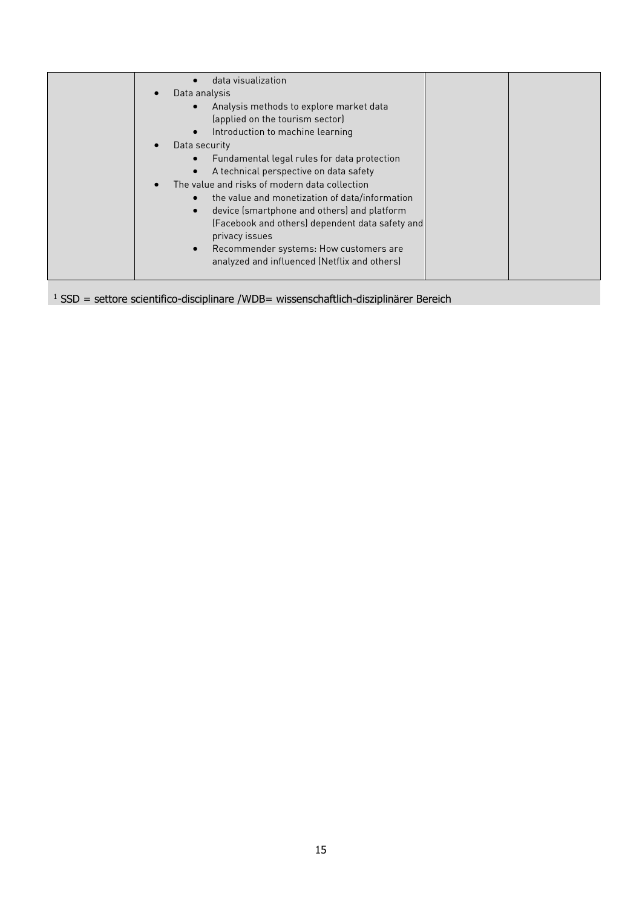|  | data visualization<br>Data analysis<br>Analysis methods to explore market data<br>(applied on the tourism sector)<br>Introduction to machine learning<br>Data security<br>Fundamental legal rules for data protection<br>A technical perspective on data safety<br>The value and risks of modern data collection<br>the value and monetization of data/information<br>device (smartphone and others) and platform<br>(Facebook and others) dependent data safety and<br>privacy issues<br>Recommender systems: How customers are<br>$\bullet$<br>analyzed and influenced (Netflix and others) |
|--|-----------------------------------------------------------------------------------------------------------------------------------------------------------------------------------------------------------------------------------------------------------------------------------------------------------------------------------------------------------------------------------------------------------------------------------------------------------------------------------------------------------------------------------------------------------------------------------------------|
|--|-----------------------------------------------------------------------------------------------------------------------------------------------------------------------------------------------------------------------------------------------------------------------------------------------------------------------------------------------------------------------------------------------------------------------------------------------------------------------------------------------------------------------------------------------------------------------------------------------|

 $1$  SSD = settore scientifico-disciplinare /WDB= wissenschaftlich-disziplinärer Bereich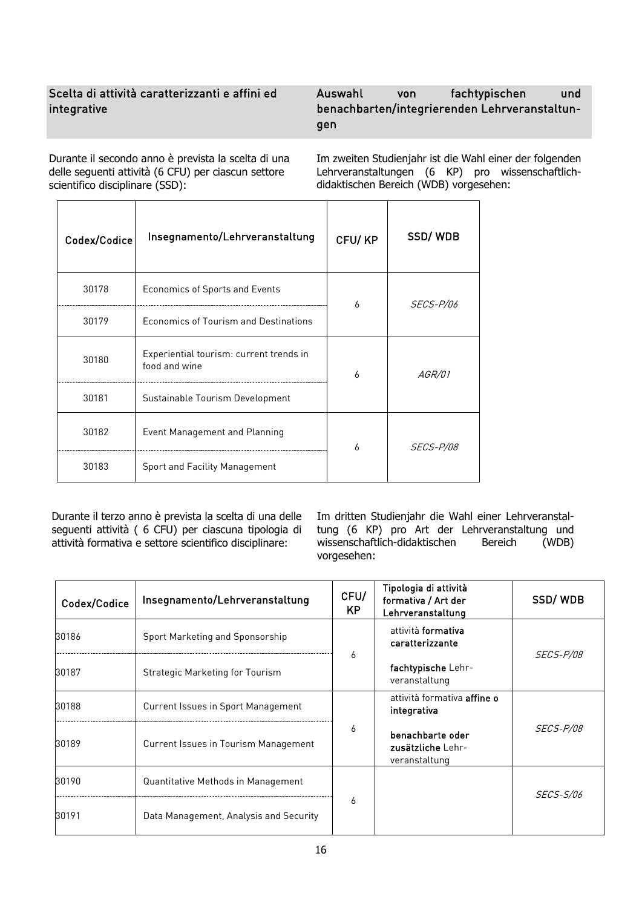# Scelta di attività caratterizzanti e affini ed integrative

# Auswahl von fachtypischen und benachbarten/integrierenden Lehrveranstaltungen

Durante il secondo anno è prevista la scelta di una delle seguenti attività (6 CFU) per ciascun settore scientifico disciplinare (SSD):

Im zweiten Studienjahr ist die Wahl einer der folgenden Lehrveranstaltungen (6 KP) pro wissenschaftlichdidaktischen Bereich (WDB) vorgesehen:

| Codex/Codice | Insegnamento/Lehrveranstaltung                           | CFU/KP | SSD/WDB          |
|--------------|----------------------------------------------------------|--------|------------------|
| 30178        | Economics of Sports and Events                           | 6      | <i>SECS-P/06</i> |
| 30179        | Economics of Tourism and Destinations                    |        |                  |
| 30180        | Experiential tourism: current trends in<br>food and wine | 6      | <i>AGR/01</i>    |
| 30181        | Sustainable Tourism Development                          |        |                  |
| 30182        | Event Management and Planning                            | 6      | <i>SECS-P/08</i> |
| 30183        | Sport and Facility Management                            |        |                  |

Durante il terzo anno è prevista la scelta di una delle seguenti attività ( 6 CFU) per ciascuna tipologia di attività formativa e settore scientifico disciplinare:

Im dritten Studienjahr die Wahl einer Lehrveranstaltung (6 KP) pro Art der Lehrveranstaltung und<br>wissenschaftlich-didaktischen Bereich (WDB) wissenschaftlich-didaktischen vorgesehen:

| Codex/Codice | Insegnamento/Lehrveranstaltung            | CFU/<br><b>KP</b> | Tipologia di attività<br>formativa / Art der<br>Lehrveranstaltung | SSD/WDB          |
|--------------|-------------------------------------------|-------------------|-------------------------------------------------------------------|------------------|
| 30186        | Sport Marketing and Sponsorship           |                   | attività <b>formativa</b><br>caratterizzante                      | <i>SECS-P/08</i> |
| 30187        | Strategic Marketing for Tourism           | 6                 | fachtypische Lehr-<br>veranstaltung                               |                  |
| 30188        | <b>Current Issues in Sport Management</b> |                   | attività formativa <b>affine o</b><br>integrativa                 |                  |
| 30189        | Current Issues in Tourism Management      | 6                 | benachbarte oder<br>zusätzliche Lehr-<br>veranstaltung            | <i>SECS-P/08</i> |
| 30190        | Quantitative Methods in Management        |                   |                                                                   | <i>SECS-S/06</i> |
| 30191        | Data Management, Analysis and Security    | 6                 |                                                                   |                  |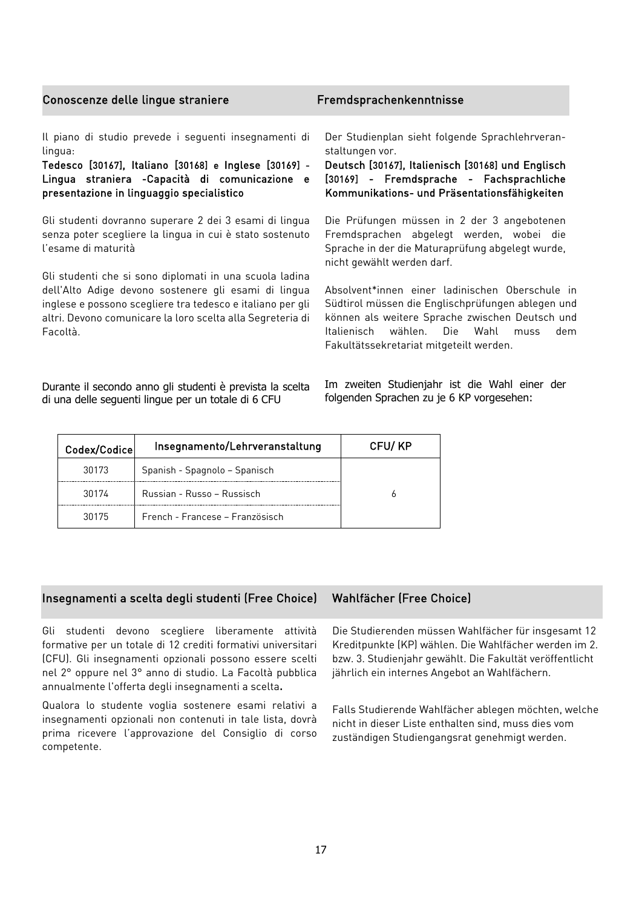| Conoscenze delle lingue straniere                        | Fremdsprachenkenntnisse                           |
|----------------------------------------------------------|---------------------------------------------------|
| Il piano di studio prevede i seguenti insegnamenti di    | Der Studienplan sieht folgende Sprachlehrveran-   |
| lingua:                                                  | staltungen vor.                                   |
| Tedesco [30167], Italiano [30168] e Inglese [30169] -    | Deutsch [30167], Italienisch [30168] und Englisch |
| Lingua straniera - Capacità di comunicazione e           | [30169] - Fremdsprache - Fachsprachliche          |
| presentazione in linguaggio specialistico                | Kommunikations- und Präsentationsfähigkeiten      |
| Gli studenti dovranno superare 2 dei 3 esami di lingua   | Die Prüfungen müssen in 2 der 3 angebotenen       |
| senza poter scegliere la lingua in cui è stato sostenuto | Fremdsprachen abgelegt werden, wobei die          |
| l'esame di maturità                                      | Sprache in der die Maturaprüfung abgelegt wurde,  |
| Cli studenti she si sepe diplomati in una ssuela ladina  | nicht gewählt werden darf.                        |

Gli studenti che si sono diplomati in una scuola ladina dell'Alto Adige devono sostenere gli esami di lingua inglese e possono scegliere tra tedesco e italiano per gli altri. Devono comunicare la loro scelta alla Segreteria di Facoltà.

Durante il secondo anno gli studenti è prevista la scelta di una delle seguenti lingue per un totale di 6 CFU

Im zweiten Studienjahr ist die Wahl einer der folgenden Sprachen zu je 6 KP vorgesehen:

Fakultätssekretariat mitgeteilt werden.

Absolvent\*innen einer ladinischen Oberschule in Südtirol müssen die Englischprüfungen ablegen und können als weitere Sprache zwischen Deutsch und Italienisch wählen. Die Wahl muss dem

| Codex/Codice | Insegnamento/Lehrveranstaltung  | CFU/KP |
|--------------|---------------------------------|--------|
| 30173        | Spanish - Spagnolo - Spanisch   |        |
| 30174        | Russian - Russo - Russisch      |        |
| 30175        | French - Francese – Französisch |        |

# Insegnamenti a scelta degli studenti (Free Choice) Wahlfächer (Free Choice)

Gli studenti devono scegliere liberamente attività formative per un totale di 12 crediti formativi universitari (CFU). Gli insegnamenti opzionali possono essere scelti nel 2° oppure nel 3° anno di studio. La Facoltà pubblica annualmente l'offerta degli insegnamenti a scelta.

Qualora lo studente voglia sostenere esami relativi a insegnamenti opzionali non contenuti in tale lista, dovrà prima ricevere l'approvazione del Consiglio di corso competente.

Die Studierenden müssen Wahlfächer für insgesamt 12 Kreditpunkte (KP) wählen. Die Wahlfächer werden im 2. bzw. 3. Studienjahr gewählt. Die Fakultät veröffentlicht jährlich ein internes Angebot an Wahlfächern.

Falls Studierende Wahlfächer ablegen möchten, welche nicht in dieser Liste enthalten sind, muss dies vom zuständigen Studiengangsrat genehmigt werden.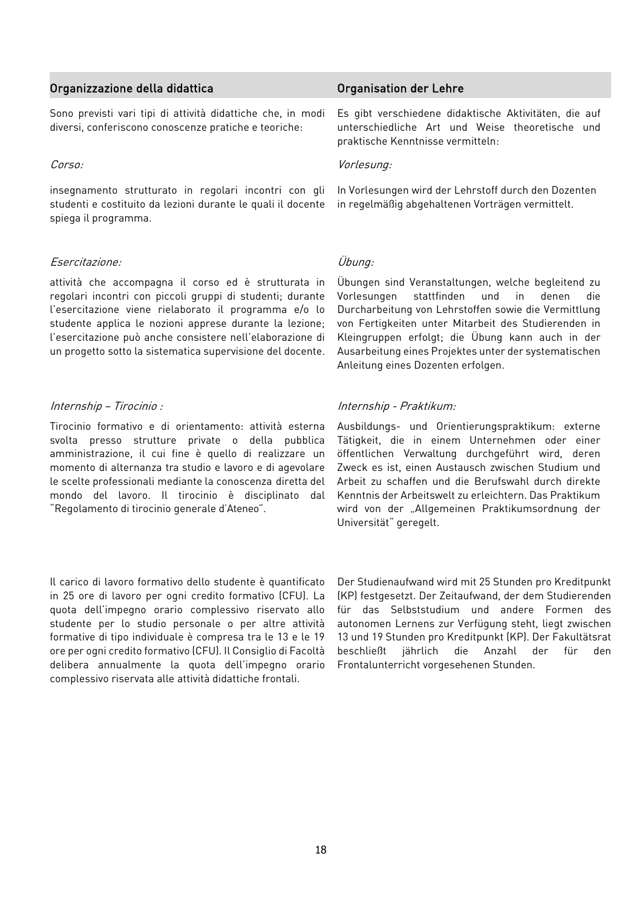# Organizzazione della didattica Organisation der Lehre

Sono previsti vari tipi di attività didattiche che, in modi diversi, conferiscono conoscenze pratiche e teoriche:

insegnamento strutturato in regolari incontri con gli studenti e costituito da lezioni durante le quali il docente spiega il programma.

### Esercitazione: Übung:

attività che accompagna il corso ed è strutturata in regolari incontri con piccoli gruppi di studenti; durante l'esercitazione viene rielaborato il programma e/o lo studente applica le nozioni apprese durante la lezione; l'esercitazione può anche consistere nell'elaborazione di un progetto sotto la sistematica supervisione del docente.

Tirocinio formativo e di orientamento: attività esterna svolta presso strutture private o della pubblica amministrazione, il cui fine è quello di realizzare un momento di alternanza tra studio e lavoro e di agevolare le scelte professionali mediante la conoscenza diretta del mondo del lavoro. Il tirocinio è disciplinato dal "Regolamento di tirocinio generale d'Ateneo".

Il carico di lavoro formativo dello studente è quantificato in 25 ore di lavoro per ogni credito formativo (CFU). La quota dell'impegno orario complessivo riservato allo studente per lo studio personale o per altre attività formative di tipo individuale è compresa tra le 13 e le 19 ore per ogni credito formativo (CFU). Il Consiglio di Facoltà delibera annualmente la quota dell'impegno orario complessivo riservata alle attività didattiche frontali.

Es gibt verschiedene didaktische Aktivitäten, die auf unterschiedliche Art und Weise theoretische und praktische Kenntnisse vermitteln:

# Corso: Vorlesung:

In Vorlesungen wird der Lehrstoff durch den Dozenten in regelmäßig abgehaltenen Vorträgen vermittelt.

Übungen sind Veranstaltungen, welche begleitend zu Vorlesungen stattfinden und in denen die Durcharbeitung von Lehrstoffen sowie die Vermittlung von Fertigkeiten unter Mitarbeit des Studierenden in Kleingruppen erfolgt; die Übung kann auch in der Ausarbeitung eines Projektes unter der systematischen Anleitung eines Dozenten erfolgen.

# Internship – Tirocinio : Internship - Praktikum:

Ausbildungs- und Orientierungspraktikum: externe Tätigkeit, die in einem Unternehmen oder einer öffentlichen Verwaltung durchgeführt wird, deren Zweck es ist, einen Austausch zwischen Studium und Arbeit zu schaffen und die Berufswahl durch direkte Kenntnis der Arbeitswelt zu erleichtern. Das Praktikum wird von der "Allgemeinen Praktikumsordnung der Universität" geregelt.

Der Studienaufwand wird mit 25 Stunden pro Kreditpunkt (KP) festgesetzt. Der Zeitaufwand, der dem Studierenden für das Selbststudium und andere Formen des autonomen Lernens zur Verfügung steht, liegt zwischen 13 und 19 Stunden pro Kreditpunkt (KP). Der Fakultätsrat beschließt jährlich die Anzahl der für den Frontalunterricht vorgesehenen Stunden.